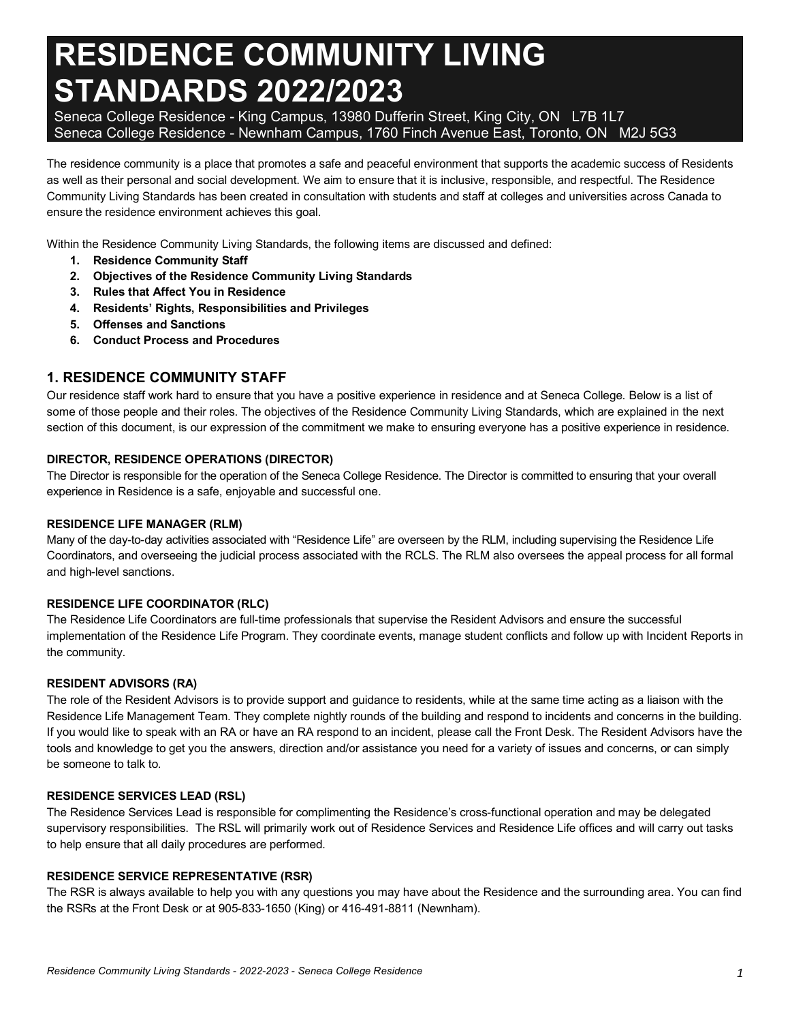# **RESIDENCE COMMUNITY LIVING STANDARDS 2022/2023**

 Seneca College Residence - King Campus, 13980 Dufferin Street, King City, ON L7B 1L7 Seneca College Residence - Newnham Campus, 1760 Finch Avenue East, Toronto, ON M2J 5G3

 The residence community is a place that promotes a safe and peaceful environment that supports the academic success of Residents as well as their personal and social development. We aim to ensure that it is inclusive, responsible, and respectful. The Residence Community Living Standards has been created in consultation with students and staff at colleges and universities across Canada to ensure the residence environment achieves this goal.

Within the Residence Community Living Standards, the following items are discussed and defined:

- **1. Residence Community Staff**
- **2. Objectives of the Residence Community Living Standards**
- **3. Rules that Affect You in Residence**
- **4. Residents' Rights, Responsibilities and Privileges**
- **5. Offenses and Sanctions**
- **6. Conduct Process and Procedures**

## **1. RESIDENCE COMMUNITY STAFF**

 Our residence staff work hard to ensure that you have a positive experience in residence and at Seneca College. Below is a list of some of those people and their roles. The objectives of the Residence Community Living Standards, which are explained in the next section of this document, is our expression of the commitment we make to ensuring everyone has a positive experience in residence.

#### **DIRECTOR, RESIDENCE OPERATIONS (DIRECTOR)**

 The Director is responsible for the operation of the Seneca College Residence. The Director is committed to ensuring that your overall experience in Residence is a safe, enjoyable and successful one.

#### **RESIDENCE LIFE MANAGER (RLM)**

 Many of the day-to-day activities associated with "Residence Life" are overseen by the RLM, including supervising the Residence Life Coordinators, and overseeing the judicial process associated with the RCLS. The RLM also oversees the appeal process for all formal and high-level sanctions.

#### **RESIDENCE LIFE COORDINATOR (RLC)**

 The Residence Life Coordinators are full-time professionals that supervise the Resident Advisors and ensure the successful implementation of the Residence Life Program. They coordinate events, manage student conflicts and follow up with Incident Reports in the community.

#### **RESIDENT ADVISORS (RA)**

 The role of the Resident Advisors is to provide support and guidance to residents, while at the same time acting as a liaison with the Residence Life Management Team. They complete nightly rounds of the building and respond to incidents and concerns in the building. If you would like to speak with an RA or have an RA respond to an incident, please call the Front Desk. The Resident Advisors have the tools and knowledge to get you the answers, direction and/or assistance you need for a variety of issues and concerns, or can simply be someone to talk to.

#### **RESIDENCE SERVICES LEAD (RSL)**

 The Residence Services Lead is responsible for complimenting the Residence's cross-functional operation and may be delegated supervisory responsibilities. The RSL will primarily work out of Residence Services and Residence Life offices and will carry out tasks to help ensure that all daily procedures are performed.

#### **RESIDENCE SERVICE REPRESENTATIVE (RSR)**

 The RSR is always available to help you with any questions you may have about the Residence and the surrounding area. You can find the RSRs at the Front Desk or at 905-833-1650 (King) or 416-491-8811 (Newnham).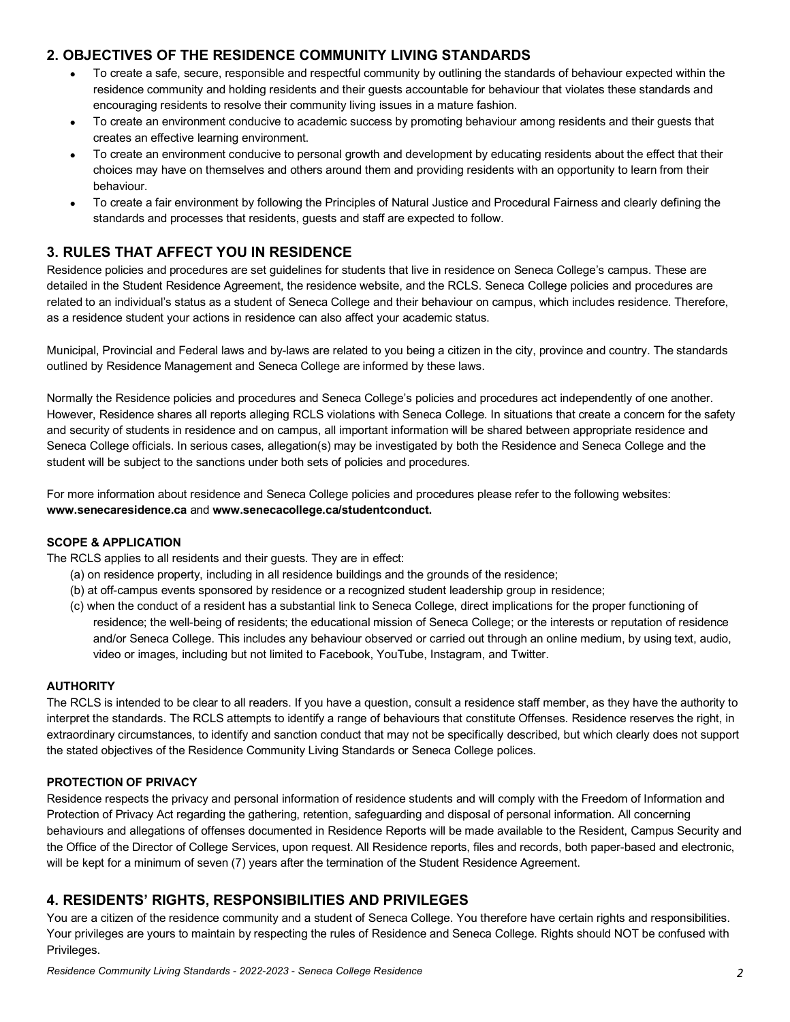# **2. OBJECTIVES OF THE RESIDENCE COMMUNITY LIVING STANDARDS**

- residence community and holding residents and their guests accountable for behaviour that violates these standards and encouraging residents to resolve their community living issues in a mature fashion. • To create a safe, secure, responsible and respectful community by outlining the standards of behaviour expected within the
- creates an effective learning environment. • To create an environment conducive to academic success by promoting behaviour among residents and their guests that
- choices may have on themselves and others around them and providing residents with an opportunity to learn from their • To create an environment conducive to personal growth and development by educating residents about the effect that their behaviour.
- standards and processes that residents, guests and staff are expected to follow. • To create a fair environment by following the Principles of Natural Justice and Procedural Fairness and clearly defining the

# **3. RULES THAT AFFECT YOU IN RESIDENCE**

 Residence policies and procedures are set guidelines for students that live in residence on Seneca College's campus. These are detailed in the Student Residence Agreement, the residence website, and the RCLS. Seneca College policies and procedures are related to an individual's status as a student of Seneca College and their behaviour on campus, which includes residence. Therefore, as a residence student your actions in residence can also affect your academic status.

 Municipal, Provincial and Federal laws and by-laws are related to you being a citizen in the city, province and country. The standards outlined by Residence Management and Seneca College are informed by these laws.

 Normally the Residence policies and procedures and Seneca College's policies and procedures act independently of one another. However, Residence shares all reports alleging RCLS violations with Seneca College. In situations that create a concern for the safety and security of students in residence and on campus, all important information will be shared between appropriate residence and Seneca College officials. In serious cases, allegation(s) may be investigated by both the Residence and Seneca College and the student will be subject to the sanctions under both sets of policies and procedures.

 For more information about residence and Seneca College policies and procedures please refer to the following websites: **<www.senecaresidence.ca>**and **[www.senecacollege.ca/studentconduct.](www.senecacollege.ca/studentconduct)** 

## **SCOPE & APPLICATION**

The RCLS applies to all residents and their guests. They are in effect:

- (a) on residence property, including in all residence buildings and the grounds of the residence;
- (b) at off-campus events sponsored by residence or a recognized student leadership group in residence;
- (c) when the conduct of a resident has a substantial link to Seneca College, direct implications for the proper functioning of residence; the well-being of residents; the educational mission of Seneca College; or the interests or reputation of residence and/or Seneca College. This includes any behaviour observed or carried out through an online medium, by using text, audio, video or images, including but not limited to Facebook, YouTube, Instagram, and Twitter.

#### **AUTHORITY**

 The RCLS is intended to be clear to all readers. If you have a question, consult a residence staff member, as they have the authority to interpret the standards. The RCLS attempts to identify a range of behaviours that constitute Offenses. Residence reserves the right, in extraordinary circumstances, to identify and sanction conduct that may not be specifically described, but which clearly does not support the stated objectives of the Residence Community Living Standards or Seneca College polices.

#### **PROTECTION OF PRIVACY**

 Residence respects the privacy and personal information of residence students and will comply with the Freedom of Information and Protection of Privacy Act regarding the gathering, retention, safeguarding and disposal of personal information. All concerning behaviours and allegations of offenses documented in Residence Reports will be made available to the Resident, Campus Security and the Office of the Director of College Services, upon request. All Residence reports, files and records, both paper-based and electronic, will be kept for a minimum of seven (7) years after the termination of the Student Residence Agreement.

## **4. RESIDENTS' RIGHTS, RESPONSIBILITIES AND PRIVILEGES**

 You are a citizen of the residence community and a student of Seneca College. You therefore have certain rights and responsibilities. Your privileges are yours to maintain by respecting the rules of Residence and Seneca College. Rights should NOT be confused with Privileges.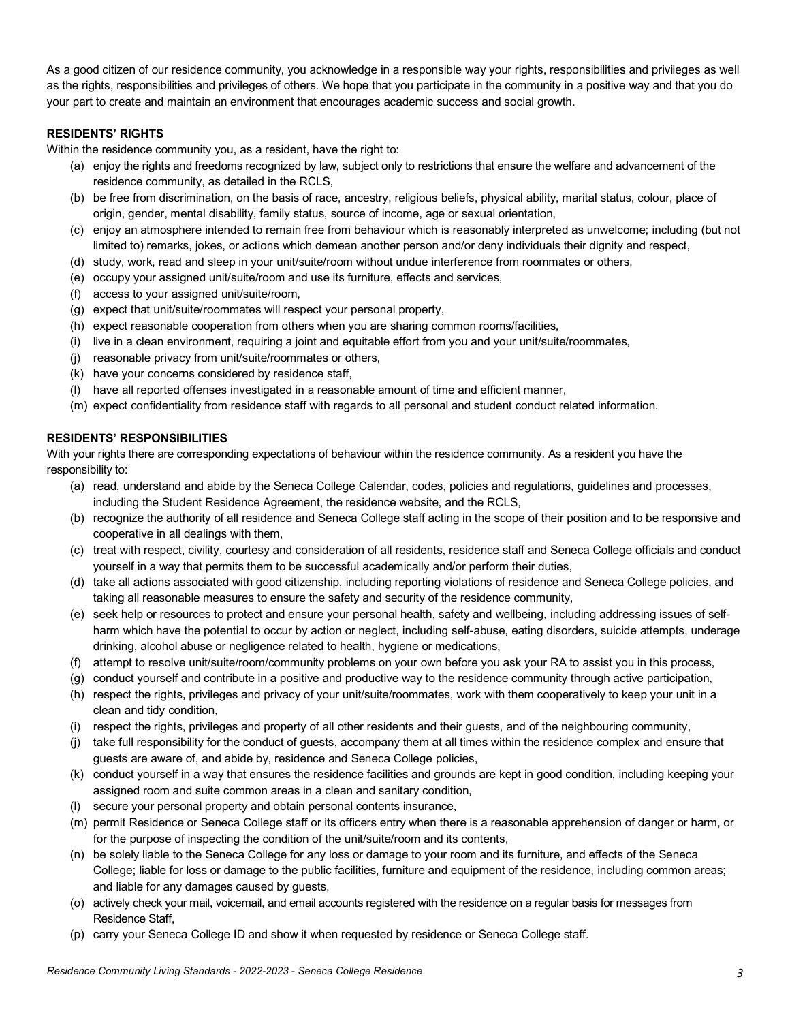As a good citizen of our residence community, you acknowledge in a responsible way your rights, responsibilities and privileges as well as the rights, responsibilities and privileges of others. We hope that you participate in the community in a positive way and that you do your part to create and maintain an environment that encourages academic success and social growth.

#### **RESIDENTS' RIGHTS**

Within the residence community you, as a resident, have the right to:

- (a) enjoy the rights and freedoms recognized by law, subject only to restrictions that ensure the welfare and advancement of the residence community, as detailed in the RCLS,
- (b) be free from discrimination, on the basis of race, ancestry, religious beliefs, physical ability, marital status, colour, place of origin, gender, mental disability, family status, source of income, age or sexual orientation,
- (c) enjoy an atmosphere intended to remain free from behaviour which is reasonably interpreted as unwelcome; including (but not limited to) remarks, jokes, or actions which demean another person and/or deny individuals their dignity and respect,
- (d) study, work, read and sleep in your unit/suite/room without undue interference from roommates or others,
- (e) occupy your assigned unit/suite/room and use its furniture, effects and services,
- (f) access to your assigned unit/suite/room,
- (g) expect that unit/suite/roommates will respect your personal property,
- (h) expect reasonable cooperation from others when you are sharing common rooms/facilities,
- (i) live in a clean environment, requiring a joint and equitable effort from you and your unit/suite/roommates,
- (j) reasonable privacy from unit/suite/roommates or others,
- (k) have your concerns considered by residence staff,
- (l) have all reported offenses investigated in a reasonable amount of time and efficient manner,
- (m) expect confidentiality from residence staff with regards to all personal and student conduct related information.

#### **RESIDENTS' RESPONSIBILITIES**

 With your rights there are corresponding expectations of behaviour within the residence community. As a resident you have the responsibility to:

- (a) read, understand and abide by the Seneca College Calendar, codes, policies and regulations, guidelines and processes, including the Student Residence Agreement, the residence website, and the RCLS,
- (b) recognize the authority of all residence and Seneca College staff acting in the scope of their position and to be responsive and cooperative in all dealings with them,
- (c) treat with respect, civility, courtesy and consideration of all residents, residence staff and Seneca College officials and conduct yourself in a way that permits them to be successful academically and/or perform their duties,
- (d) take all actions associated with good citizenship, including reporting violations of residence and Seneca College policies, and taking all reasonable measures to ensure the safety and security of the residence community,
- (e) seek help or resources to protect and ensure your personal health, safety and wellbeing, including addressing issues of self- harm which have the potential to occur by action or neglect, including self-abuse, eating disorders, suicide attempts, underage drinking, alcohol abuse or negligence related to health, hygiene or medications,
- (f) attempt to resolve unit/suite/room/community problems on your own before you ask your RA to assist you in this process,
- (g) conduct yourself and contribute in a positive and productive way to the residence community through active participation,
- (h) respect the rights, privileges and privacy of your unit/suite/roommates, work with them cooperatively to keep your unit in a clean and tidy condition,
- (i) respect the rights, privileges and property of all other residents and their guests, and of the neighbouring community,
- (j) take full responsibility for the conduct of guests, accompany them at all times within the residence complex and ensure that guests are aware of, and abide by, residence and Seneca College policies,
- (k) conduct yourself in a way that ensures the residence facilities and grounds are kept in good condition, including keeping your assigned room and suite common areas in a clean and sanitary condition,
- (l) secure your personal property and obtain personal contents insurance,
- (m) permit Residence or Seneca College staff or its officers entry when there is a reasonable apprehension of danger or harm, or for the purpose of inspecting the condition of the unit/suite/room and its contents,
- (n) be solely liable to the Seneca College for any loss or damage to your room and its furniture, and effects of the Seneca College; liable for loss or damage to the public facilities, furniture and equipment of the residence, including common areas; and liable for any damages caused by guests,
- (o) actively check your mail, voicemail, and email accounts registered with the residence on a regular basis for messages from Residence Staff,
- (p) carry your Seneca College ID and show it when requested by residence or Seneca College staff.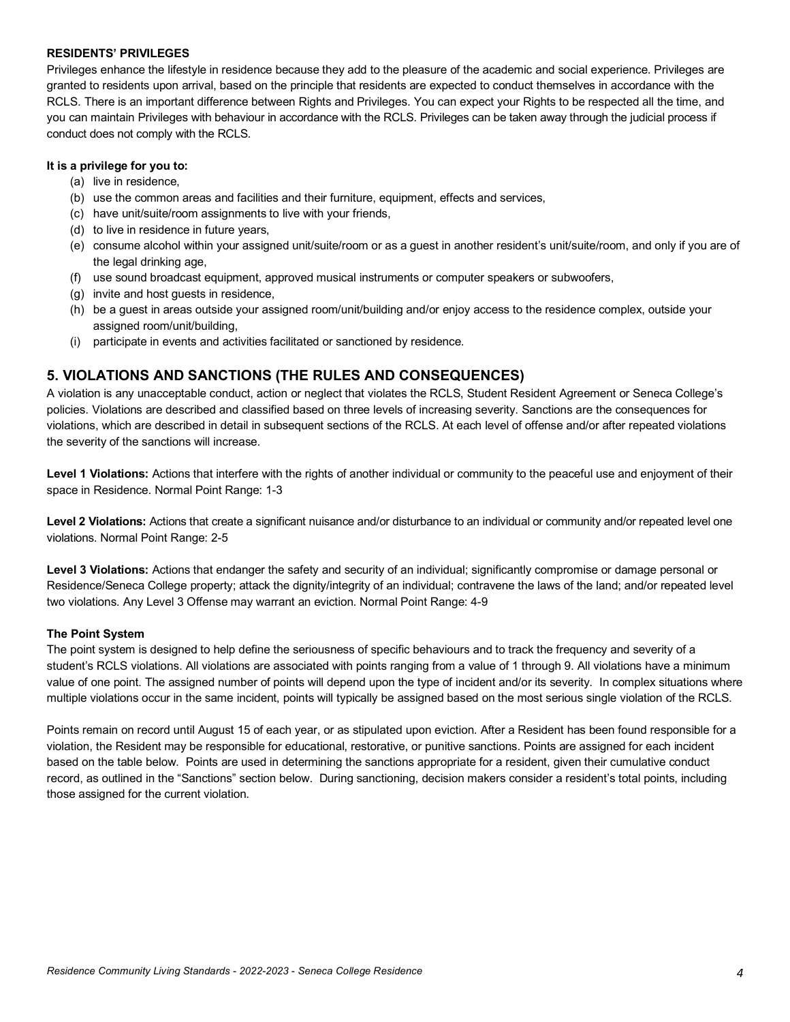#### **RESIDENTS' PRIVILEGES**

 Privileges enhance the lifestyle in residence because they add to the pleasure of the academic and social experience. Privileges are granted to residents upon arrival, based on the principle that residents are expected to conduct themselves in accordance with the RCLS. There is an important difference between Rights and Privileges. You can expect your Rights to be respected all the time, and you can maintain Privileges with behaviour in accordance with the RCLS. Privileges can be taken away through the judicial process if conduct does not comply with the RCLS.

#### **It is a privilege for you to:**

- (a) live in residence,
- (b) use the common areas and facilities and their furniture, equipment, effects and services,
- (c) have unit/suite/room assignments to live with your friends,
- (d) to live in residence in future years,
- (e) consume alcohol within your assigned unit/suite/room or as a guest in another resident's unit/suite/room, and only if you are of the legal drinking age,
- (f) use sound broadcast equipment, approved musical instruments or computer speakers or subwoofers,
- (g) invite and host guests in residence,
- (h) be a guest in areas outside your assigned room/unit/building and/or enjoy access to the residence complex, outside your assigned room/unit/building,
- (i) participate in events and activities facilitated or sanctioned by residence.

## **5. VIOLATIONS AND SANCTIONS (THE RULES AND CONSEQUENCES)**

 A violation is any unacceptable conduct, action or neglect that violates the RCLS, Student Resident Agreement or Seneca College's policies. Violations are described and classified based on three levels of increasing severity. Sanctions are the consequences for violations, which are described in detail in subsequent sections of the RCLS. At each level of offense and/or after repeated violations the severity of the sanctions will increase.

Level 1 Violations: Actions that interfere with the rights of another individual or community to the peaceful use and enjoyment of their space in Residence. Normal Point Range: 1-3

Level 2 Violations: Actions that create a significant nuisance and/or disturbance to an individual or community and/or repeated level one violations. Normal Point Range: 2-5

Level 3 Violations: Actions that endanger the safety and security of an individual; significantly compromise or damage personal or Residence/Seneca College property; attack the dignity/integrity of an individual; contravene the laws of the land; and/or repeated level two violations. Any Level 3 Offense may warrant an eviction. Normal Point Range: 4-9

#### **The Point System**

 The point system is designed to help define the seriousness of specific behaviours and to track the frequency and severity of a student's RCLS violations. All violations are associated with points ranging from a value of 1 through 9. All violations have a minimum value of one point. The assigned number of points will depend upon the type of incident and/or its severity. In complex situations where multiple violations occur in the same incident, points will typically be assigned based on the most serious single violation of the RCLS.

 Points remain on record until August 15 of each year, or as stipulated upon eviction. After a Resident has been found responsible for a violation, the Resident may be responsible for educational, restorative, or punitive sanctions. Points are assigned for each incident based on the table below. Points are used in determining the sanctions appropriate for a resident, given their cumulative conduct record, as outlined in the "Sanctions" section below. During sanctioning, decision makers consider a resident's total points, including those assigned for the current violation.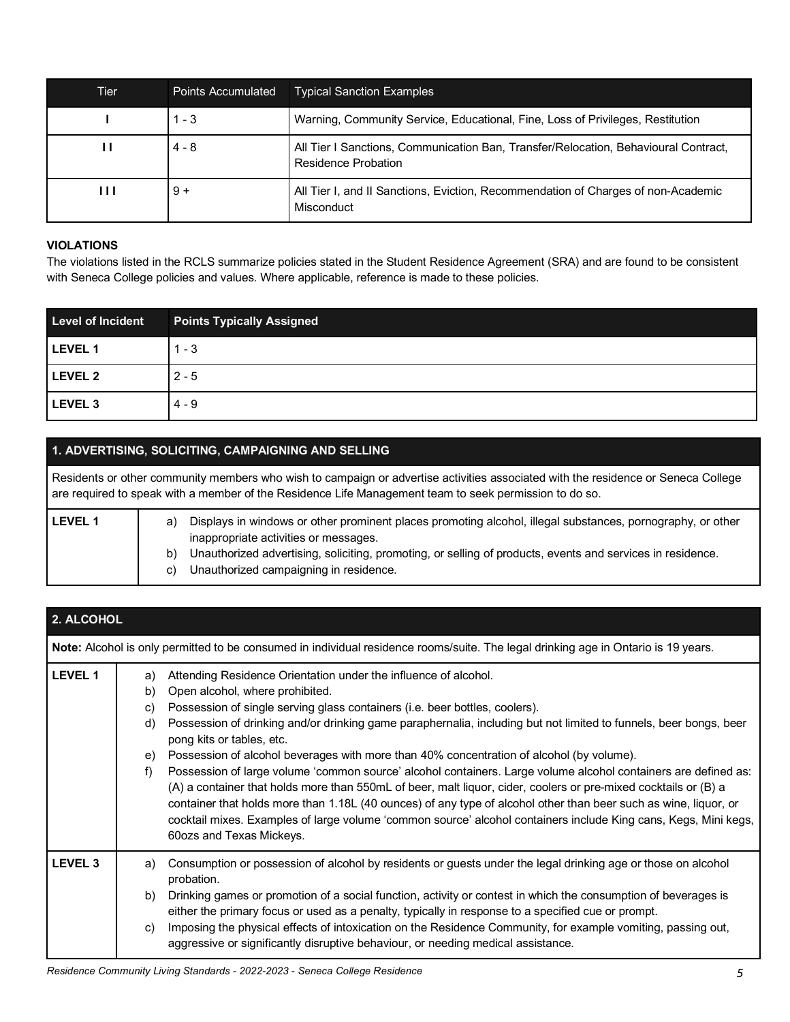| Tier           | <b>Points Accumulated</b> | <b>Typical Sanction Examples</b>                                                                           |
|----------------|---------------------------|------------------------------------------------------------------------------------------------------------|
|                | $1 - 3$                   | Warning, Community Service, Educational, Fine, Loss of Privileges, Restitution                             |
| п              | $4 - 8$                   | All Tier I Sanctions, Communication Ban, Transfer/Relocation, Behavioural Contract,<br>Residence Probation |
| $\blacksquare$ | $9+$                      | All Tier I, and II Sanctions, Eviction, Recommendation of Charges of non-Academic<br>Misconduct            |

#### **VIOLATIONS**

 The violations listed in the RCLS summarize policies stated in the Student Residence Agreement (SRA) and are found to be consistent with Seneca College policies and values. Where applicable, reference is made to these policies.

| <b>Level of Incident</b> | <b>Points Typically Assigned</b> |
|--------------------------|----------------------------------|
| LEVEL 1                  | $1 - 3$                          |
| LEVEL 2                  | $2 - 5$                          |
| LEVEL 3                  | 4 - 9                            |

## **1. ADVERTISING, SOLICITING, CAMPAIGNING AND SELLING**

 Residents or other community members who wish to campaign or advertise activities associated with the residence or Seneca College are required to speak with a member of the Residence Life Management team to seek permission to do so.

| <b>LEVEL 1</b> | Displays in windows or other prominent places promoting alcohol, illegal substances, pornography, or other<br>a)<br>inappropriate activities or messages.  |
|----------------|------------------------------------------------------------------------------------------------------------------------------------------------------------|
|                | Unauthorized advertising, soliciting, promoting, or selling of products, events and services in residence.<br>b)<br>Unauthorized campaigning in residence. |

| 2. ALCOHOL     |                                                                                                                                                                                                                                                                                                                                                                                                                                                                                                                                                                                                                                                                                                                                                                                                                                                                                                                                                                             |
|----------------|-----------------------------------------------------------------------------------------------------------------------------------------------------------------------------------------------------------------------------------------------------------------------------------------------------------------------------------------------------------------------------------------------------------------------------------------------------------------------------------------------------------------------------------------------------------------------------------------------------------------------------------------------------------------------------------------------------------------------------------------------------------------------------------------------------------------------------------------------------------------------------------------------------------------------------------------------------------------------------|
|                | <b>Note:</b> Alcohol is only permitted to be consumed in individual residence rooms/suite. The legal drinking age in Ontario is 19 years.                                                                                                                                                                                                                                                                                                                                                                                                                                                                                                                                                                                                                                                                                                                                                                                                                                   |
| <b>LEVEL 1</b> | Attending Residence Orientation under the influence of alcohol.<br>a)<br>Open alcohol, where prohibited.<br>b)<br>Possession of single serving glass containers (i.e. beer bottles, coolers).<br>C)<br>Possession of drinking and/or drinking game paraphernalia, including but not limited to funnels, beer bongs, beer<br>d)<br>pong kits or tables, etc.<br>Possession of alcohol beverages with more than 40% concentration of alcohol (by volume).<br>e)<br>Possession of large volume 'common source' alcohol containers. Large volume alcohol containers are defined as:<br>f)<br>(A) a container that holds more than 550mL of beer, malt liquor, cider, coolers or pre-mixed cocktails or (B) a<br>container that holds more than 1.18L (40 ounces) of any type of alcohol other than beer such as wine, liquor, or<br>cocktail mixes. Examples of large volume 'common source' alcohol containers include King cans, Kegs, Mini kegs,<br>60ozs and Texas Mickeys. |
| <b>LEVEL 3</b> | Consumption or possession of alcohol by residents or guests under the legal drinking age or those on alcohol<br>a)<br>probation.<br>Drinking games or promotion of a social function, activity or contest in which the consumption of beverages is<br>b)<br>either the primary focus or used as a penalty, typically in response to a specified cue or prompt.<br>Imposing the physical effects of intoxication on the Residence Community, for example vomiting, passing out,<br>C)<br>aggressive or significantly disruptive behaviour, or needing medical assistance.                                                                                                                                                                                                                                                                                                                                                                                                    |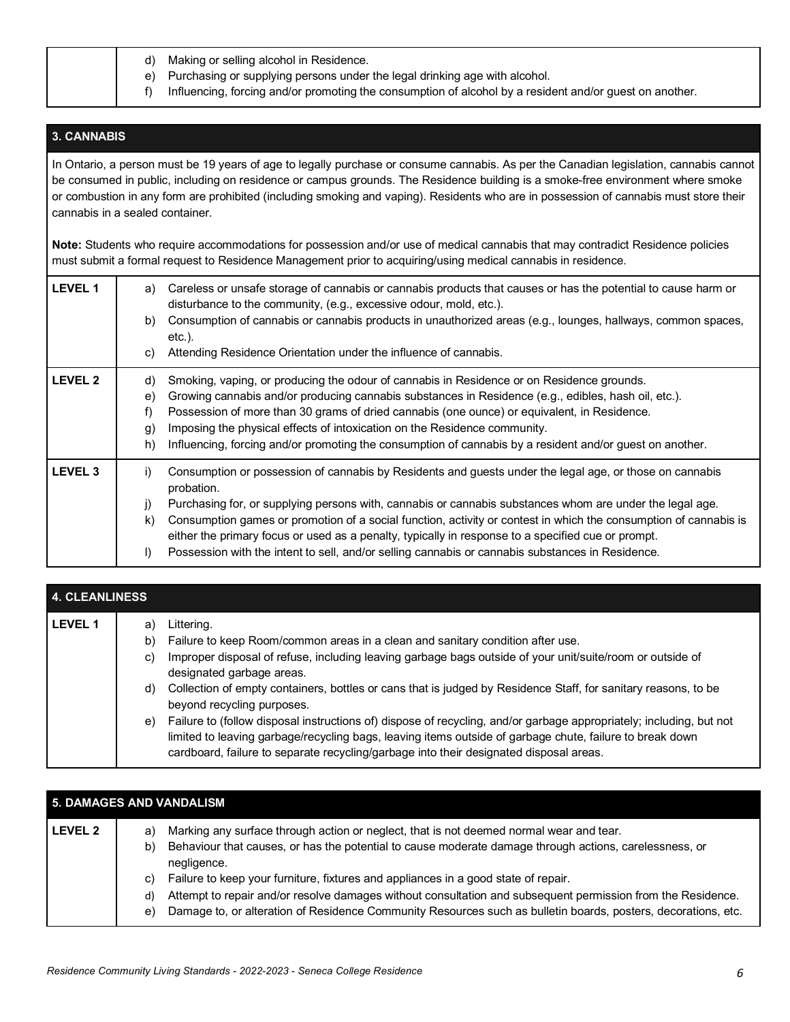|  | d) Making or selling alcohol in Residence. |  |  |  |  |
|--|--------------------------------------------|--|--|--|--|
|--|--------------------------------------------|--|--|--|--|

- e) Purchasing or supplying persons under the legal drinking age with alcohol.
- f) Influencing, forcing and/or promoting the consumption of alcohol by a resident and/or guest on another.

## **3. CANNABIS**

 In Ontario, a person must be 19 years of age to legally purchase or consume cannabis. As per the Canadian legislation, cannabis cannot be consumed in public, including on residence or campus grounds. The Residence building is a smoke-free environment where smoke or combustion in any form are prohibited (including smoking and vaping). Residents who are in possession of cannabis must store their cannabis in a sealed container.

 **Note:** Students who require accommodations for possession and/or use of medical cannabis that may contradict Residence policies must submit a formal request to Residence Management prior to acquiring/using medical cannabis in residence.

| <b>LEVEL 1</b>     | Careless or unsafe storage of cannabis or cannabis products that causes or has the potential to cause harm or<br>a)<br>disturbance to the community, (e.g., excessive odour, mold, etc.).<br>Consumption of cannabis or cannabis products in unauthorized areas (e.g., lounges, hallways, common spaces,<br>b)<br>$etc.$ ).<br>Attending Residence Orientation under the influence of cannabis.<br>C)                                                                                                                                                                                   |
|--------------------|-----------------------------------------------------------------------------------------------------------------------------------------------------------------------------------------------------------------------------------------------------------------------------------------------------------------------------------------------------------------------------------------------------------------------------------------------------------------------------------------------------------------------------------------------------------------------------------------|
| <b>LEVEL 2</b>     | Smoking, vaping, or producing the odour of cannabis in Residence or on Residence grounds.<br>d)<br>Growing cannabis and/or producing cannabis substances in Residence (e.g., edibles, hash oil, etc.).<br>e)<br>Possession of more than 30 grams of dried cannabis (one ounce) or equivalent, in Residence.<br>f)<br>Imposing the physical effects of intoxication on the Residence community.<br>$\mathfrak{g}$<br>Influencing, forcing and/or promoting the consumption of cannabis by a resident and/or guest on another.<br>h)                                                      |
| LEVEL <sub>3</sub> | Consumption or possession of cannabis by Residents and guests under the legal age, or those on cannabis<br>i)<br>probation.<br>Purchasing for, or supplying persons with, cannabis or cannabis substances whom are under the legal age.<br>j)<br>Consumption games or promotion of a social function, activity or contest in which the consumption of cannabis is<br>k)<br>either the primary focus or used as a penalty, typically in response to a specified cue or prompt.<br>Possession with the intent to sell, and/or selling cannabis or cannabis substances in Residence.<br>I) |

| 4. CLEANLINESS |                            |                                                                                                                                                                                                                                                                                                                                                                                                                                                                                                                                                                                                                                                                                                                     |  |
|----------------|----------------------------|---------------------------------------------------------------------------------------------------------------------------------------------------------------------------------------------------------------------------------------------------------------------------------------------------------------------------------------------------------------------------------------------------------------------------------------------------------------------------------------------------------------------------------------------------------------------------------------------------------------------------------------------------------------------------------------------------------------------|--|
| <b>LEVEL 1</b> | a)<br>b)<br>C)<br>d)<br>e) | Littering.<br>Failure to keep Room/common areas in a clean and sanitary condition after use.<br>Improper disposal of refuse, including leaving garbage bags outside of your unit/suite/room or outside of<br>designated garbage areas.<br>Collection of empty containers, bottles or cans that is judged by Residence Staff, for sanitary reasons, to be<br>beyond recycling purposes.<br>Failure to (follow disposal instructions of) dispose of recycling, and/or garbage appropriately; including, but not<br>limited to leaving garbage/recycling bags, leaving items outside of garbage chute, failure to break down<br>cardboard, failure to separate recycling/garbage into their designated disposal areas. |  |

|                | 5. DAMAGES AND VANDALISM                                                                                                    |  |  |  |  |
|----------------|-----------------------------------------------------------------------------------------------------------------------------|--|--|--|--|
| <b>LEVEL 2</b> | Marking any surface through action or neglect, that is not deemed normal wear and tear.<br>a)                               |  |  |  |  |
|                | Behaviour that causes, or has the potential to cause moderate damage through actions, carelessness, or<br>b)<br>negligence. |  |  |  |  |
|                | Failure to keep your furniture, fixtures and appliances in a good state of repair.<br>C)                                    |  |  |  |  |
|                | Attempt to repair and/or resolve damages without consultation and subsequent permission from the Residence.<br>d)           |  |  |  |  |
|                | Damage to, or alteration of Residence Community Resources such as bulletin boards, posters, decorations, etc.<br>e)         |  |  |  |  |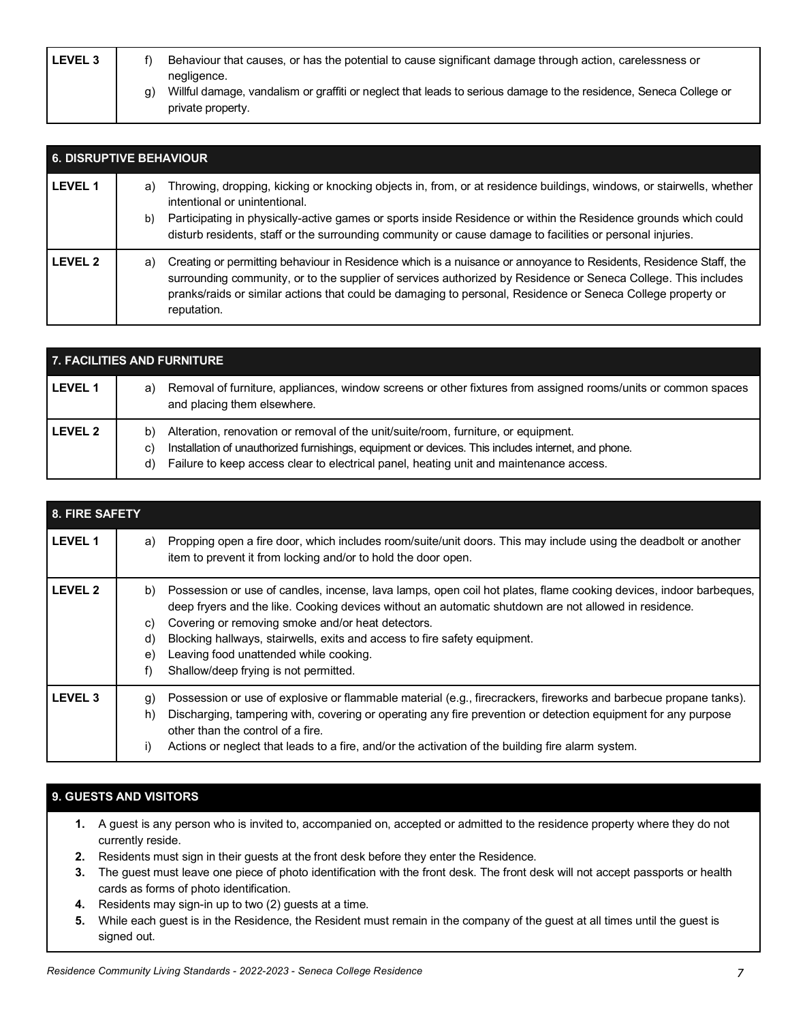| <b>LEVEL 3</b> | Behaviour that causes, or has the potential to cause significant damage through action, carelessness or                                               |
|----------------|-------------------------------------------------------------------------------------------------------------------------------------------------------|
|                | negligence.<br>Willful damage, vandalism or graffiti or neglect that leads to serious damage to the residence, Seneca College or<br>private property. |

| <b>6. DISRUPTIVE BEHAVIOUR</b> |          |                                                                                                                                                                                                                                                                                                                                                                                       |
|--------------------------------|----------|---------------------------------------------------------------------------------------------------------------------------------------------------------------------------------------------------------------------------------------------------------------------------------------------------------------------------------------------------------------------------------------|
| <b>LEVEL 1</b>                 | a)<br>b) | Throwing, dropping, kicking or knocking objects in, from, or at residence buildings, windows, or stairwells, whether<br>intentional or unintentional.<br>Participating in physically-active games or sports inside Residence or within the Residence grounds which could<br>disturb residents, staff or the surrounding community or cause damage to facilities or personal injuries. |
| <b>LEVEL 2</b>                 | a)       | Creating or permitting behaviour in Residence which is a nuisance or annoyance to Residents, Residence Staff, the<br>surrounding community, or to the supplier of services authorized by Residence or Seneca College. This includes<br>pranks/raids or similar actions that could be damaging to personal, Residence or Seneca College property or<br>reputation.                     |

| 7. FACILITIES AND FURNITURE |                                                                                                                                                                                                                                                                                                      |  |  |  |
|-----------------------------|------------------------------------------------------------------------------------------------------------------------------------------------------------------------------------------------------------------------------------------------------------------------------------------------------|--|--|--|
| <b>LEVEL 1</b>              | Removal of furniture, appliances, window screens or other fixtures from assigned rooms/units or common spaces<br>a)<br>and placing them elsewhere.                                                                                                                                                   |  |  |  |
| <b>LEVEL 2</b>              | Alteration, renovation or removal of the unit/suite/room, furniture, or equipment.<br>b)<br>Installation of unauthorized furnishings, equipment or devices. This includes internet, and phone.<br>C)<br>Failure to keep access clear to electrical panel, heating unit and maintenance access.<br>d) |  |  |  |

| 8. FIRE SAFETY |                                                                                                                                                                                                                                                                                                                                                                                                                                                                               |
|----------------|-------------------------------------------------------------------------------------------------------------------------------------------------------------------------------------------------------------------------------------------------------------------------------------------------------------------------------------------------------------------------------------------------------------------------------------------------------------------------------|
| <b>LEVEL 1</b> | Propping open a fire door, which includes room/suite/unit doors. This may include using the deadbolt or another<br>a)<br>item to prevent it from locking and/or to hold the door open.                                                                                                                                                                                                                                                                                        |
| <b>LEVEL 2</b> | Possession or use of candles, incense, lava lamps, open coil hot plates, flame cooking devices, indoor barbeques,<br>b)<br>deep fryers and the like. Cooking devices without an automatic shutdown are not allowed in residence.<br>Covering or removing smoke and/or heat detectors.<br>C)<br>Blocking hallways, stairwells, exits and access to fire safety equipment.<br>d)<br>Leaving food unattended while cooking.<br>e)<br>Shallow/deep frying is not permitted.<br>f) |
| <b>LEVEL 3</b> | Possession or use of explosive or flammable material (e.g., firecrackers, fireworks and barbecue propane tanks).<br>g)<br>Discharging, tampering with, covering or operating any fire prevention or detection equipment for any purpose<br>h)<br>other than the control of a fire.<br>Actions or neglect that leads to a fire, and/or the activation of the building fire alarm system.<br>i)                                                                                 |

# **9. GUESTS AND VISITORS**

- **1.** A guest is any person who is invited to, accompanied on, accepted or admitted to the residence property where they do not currently reside.
- **2.** Residents must sign in their guests at the front desk before they enter the Residence.
- **3.** The guest must leave one piece of photo identification with the front desk. The front desk will not accept passports or health cards as forms of photo identification.
- **4.** Residents may sign-in up to two (2) guests at a time.
- **5.** While each guest is in the Residence, the Resident must remain in the company of the guest at all times until the guest is signed out.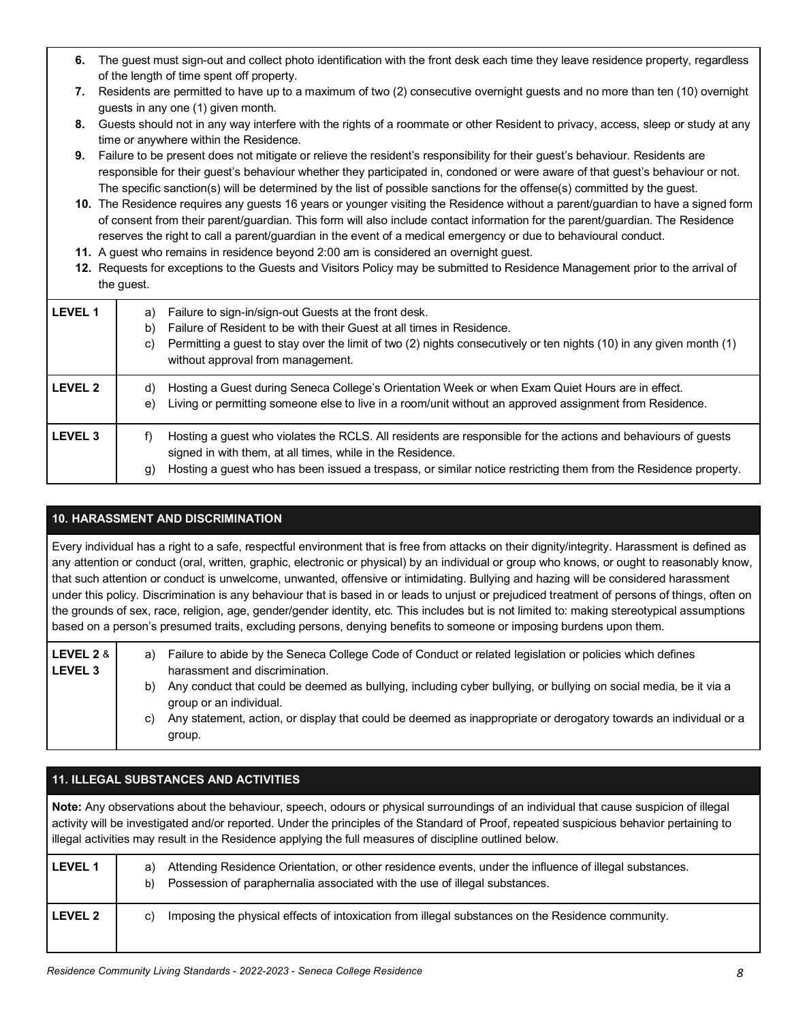- **6.** The guest must sign-out and collect photo identification with the front desk each time they leave residence property, regardless of the length of time spent off property.
- **7.** Residents are permitted to have up to a maximum of two (2) consecutive overnight guests and no more than ten (10) overnight guests in any one (1) given month.
- **8.** Guests should not in any way interfere with the rights of a roommate or other Resident to privacy, access, sleep or study at any time or anywhere within the Residence.
- **9.** Failure to be present does not mitigate or relieve the resident's responsibility for their guest's behaviour. Residents are responsible for their guest's behaviour whether they participated in, condoned or were aware of that guest's behaviour or not. The specific sanction(s) will be determined by the list of possible sanctions for the offense(s) committed by the guest.
- **10.** The Residence requires any guests 16 years or younger visiting the Residence without a parent/guardian to have a signed form of consent from their parent/guardian. This form will also include contact information for the parent/guardian. The Residence reserves the right to call a parent/guardian in the event of a medical emergency or due to behavioural conduct.
- **11.** A guest who remains in residence beyond 2:00 am is considered an overnight guest.
- **12.** Requests for exceptions to the Guests and Visitors Policy may be submitted to Residence Management prior to the arrival of the guest.

| <b>LEVEL 1</b> | Failure to sign-in/sign-out Guests at the front desk.<br>a)<br>Failure of Resident to be with their Guest at all times in Residence.<br>b)<br>Permitting a guest to stay over the limit of two (2) nights consecutively or ten nights (10) in any given month (1)<br>C)<br>without approval from management. |
|----------------|--------------------------------------------------------------------------------------------------------------------------------------------------------------------------------------------------------------------------------------------------------------------------------------------------------------|
| <b>LEVEL 2</b> | Hosting a Guest during Seneca College's Orientation Week or when Exam Quiet Hours are in effect.<br>d)<br>Living or permitting someone else to live in a room/unit without an approved assignment from Residence.<br>e)                                                                                      |
| <b>LEVEL 3</b> | Hosting a guest who violates the RCLS. All residents are responsible for the actions and behaviours of guests<br>f)<br>signed in with them, at all times, while in the Residence.<br>Hosting a guest who has been issued a trespass, or similar notice restricting them from the Residence property.<br>(g   |

## **10. HARASSMENT AND DISCRIMINATION**

 Every individual has a right to a safe, respectful environment that is free from attacks on their dignity/integrity. Harassment is defined as any attention or conduct (oral, written, graphic, electronic or physical) by an individual or group who knows, or ought to reasonably know, that such attention or conduct is unwelcome, unwanted, offensive or intimidating. Bullying and hazing will be considered harassment under this policy. Discrimination is any behaviour that is based in or leads to unjust or prejudiced treatment of persons of things, often on the grounds of sex, race, religion, age, gender/gender identity, etc. This includes but is not limited to: making stereotypical assumptions based on a person's presumed traits, excluding persons, denying benefits to someone or imposing burdens upon them.

| LEVEL 2 & l<br>l LEVEL 3 | a) | Failure to abide by the Seneca College Code of Conduct or related legislation or policies which defines<br>harassment and discrimination.   |
|--------------------------|----|---------------------------------------------------------------------------------------------------------------------------------------------|
|                          | b) | Any conduct that could be deemed as bullying, including cyber bullying, or bullying on social media, be it via a<br>group or an individual. |
|                          | C) | Any statement, action, or display that could be deemed as inappropriate or derogatory towards an individual or a<br>group.                  |

|                | <b>11. ILLEGAL SUBSTANCES AND ACTIVITIES</b>                                                                                                                                                                                                                                                                                                                                                |
|----------------|---------------------------------------------------------------------------------------------------------------------------------------------------------------------------------------------------------------------------------------------------------------------------------------------------------------------------------------------------------------------------------------------|
|                | Note: Any observations about the behaviour, speech, odours or physical surroundings of an individual that cause suspicion of illegal<br>activity will be investigated and/or reported. Under the principles of the Standard of Proof, repeated suspicious behavior pertaining to<br>illegal activities may result in the Residence applying the full measures of discipline outlined below. |
| <b>LEVEL 1</b> | Attending Residence Orientation, or other residence events, under the influence of illegal substances.<br>a)<br>Possession of paraphernalia associated with the use of illegal substances.<br>b)                                                                                                                                                                                            |
| <b>LEVEL 2</b> | Imposing the physical effects of intoxication from illegal substances on the Residence community.<br>C)                                                                                                                                                                                                                                                                                     |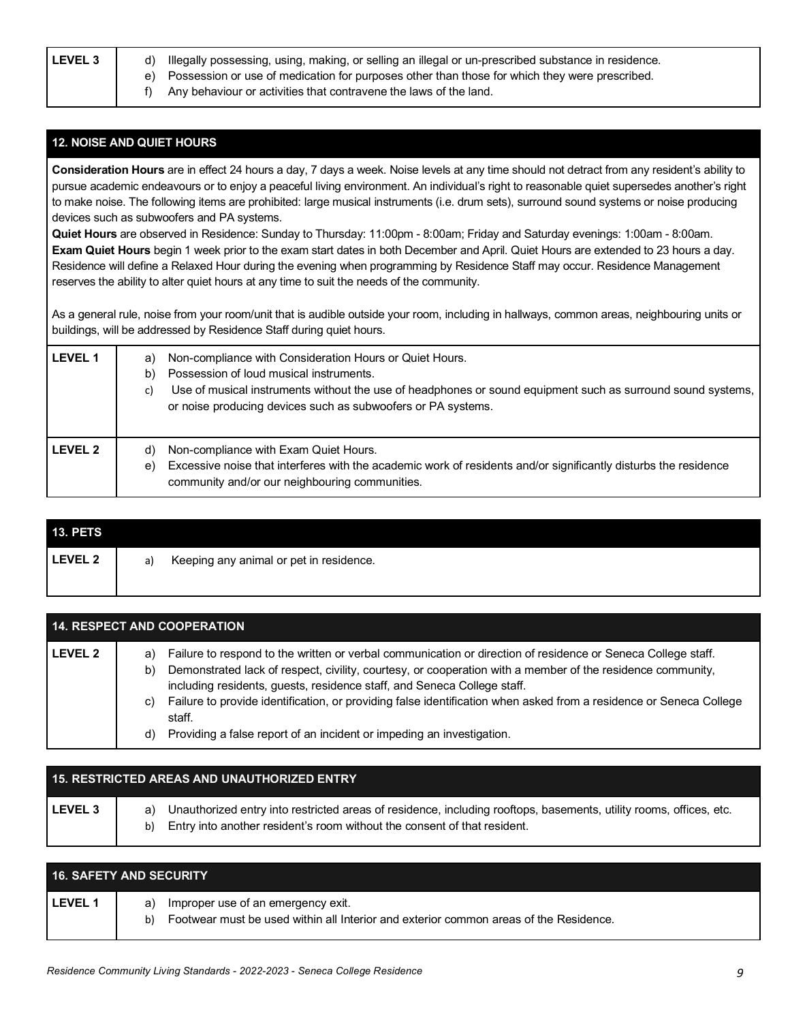LEVEL 3 | d) Illegally possessing, using, making, or selling an illegal or un-prescribed substance in residence.

- e) Possession or use of medication for purposes other than those for which they were prescribed.
- f) Any behaviour or activities that contravene the laws of the land.

## **12. NOISE AND QUIET HOURS**

 **Consideration Hours** are in effect 24 hours a day, 7 days a week. Noise levels at any time should not detract from any resident's ability to pursue academic endeavours or to enjoy a peaceful living environment. An individual's right to reasonable quiet supersedes another's right to make noise. The following items are prohibited: large musical instruments (i.e. drum sets), surround sound systems or noise producing devices such as subwoofers and PA systems.

 **Quiet Hours** are observed in Residence: Sunday to Thursday: 11:00pm - 8:00am; Friday and Saturday evenings: 1:00am - 8:00am.  **Exam Quiet Hours** begin 1 week prior to the exam start dates in both December and April. Quiet Hours are extended to 23 hours a day. Residence will define a Relaxed Hour during the evening when programming by Residence Staff may occur. Residence Management reserves the ability to alter quiet hours at any time to suit the needs of the community.

 As a general rule, noise from your room/unit that is audible outside your room, including in hallways, common areas, neighbouring units or buildings, will be addressed by Residence Staff during quiet hours.

| LEVEL 1 | Non-compliance with Consideration Hours or Quiet Hours.<br>a)<br>Possession of loud musical instruments.<br>$\mathsf{b}$<br>Use of musical instruments without the use of headphones or sound equipment such as surround sound systems,<br>C)<br>or noise producing devices such as subwoofers or PA systems. |
|---------|---------------------------------------------------------------------------------------------------------------------------------------------------------------------------------------------------------------------------------------------------------------------------------------------------------------|
| LEVEL 2 | Non-compliance with Exam Quiet Hours.<br>d)<br>Excessive noise that interferes with the academic work of residents and/or significantly disturbs the residence<br>e)<br>community and/or our neighbouring communities.                                                                                        |

| <b>13. PETS</b> |    |                                         |
|-----------------|----|-----------------------------------------|
| <b>LEVEL 2</b>  | a) | Keeping any animal or pet in residence. |

| <b>14. RESPECT AND COOPERATION</b> |                                                                                                                                                                                                                                                                                                                                                                                                                                               |  |  |  |
|------------------------------------|-----------------------------------------------------------------------------------------------------------------------------------------------------------------------------------------------------------------------------------------------------------------------------------------------------------------------------------------------------------------------------------------------------------------------------------------------|--|--|--|
| <b>LEVEL 2</b>                     | Failure to respond to the written or verbal communication or direction of residence or Seneca College staff.<br>a)<br>Demonstrated lack of respect, civility, courtesy, or cooperation with a member of the residence community,<br>b)<br>including residents, guests, residence staff, and Seneca College staff.<br>Failure to provide identification, or providing false identification when asked from a residence or Seneca College<br>C) |  |  |  |
|                                    | staff.<br>Providing a false report of an incident or impeding an investigation.<br>d)                                                                                                                                                                                                                                                                                                                                                         |  |  |  |

|         | <b>15. RESTRICTED AREAS AND UNAUTHORIZED ENTRY</b>                                                                                                                                                   |
|---------|------------------------------------------------------------------------------------------------------------------------------------------------------------------------------------------------------|
| LEVEL 3 | Unauthorized entry into restricted areas of residence, including rooftops, basements, utility rooms, offices, etc.<br>Entry into another resident's room without the consent of that resident.<br>b) |

|                | <b>16. SAFETY AND SECURITY</b>                                                                                                         |
|----------------|----------------------------------------------------------------------------------------------------------------------------------------|
| <b>LEVEL 1</b> | Improper use of an emergency exit.<br>a)<br>Footwear must be used within all Interior and exterior common areas of the Residence.<br>b |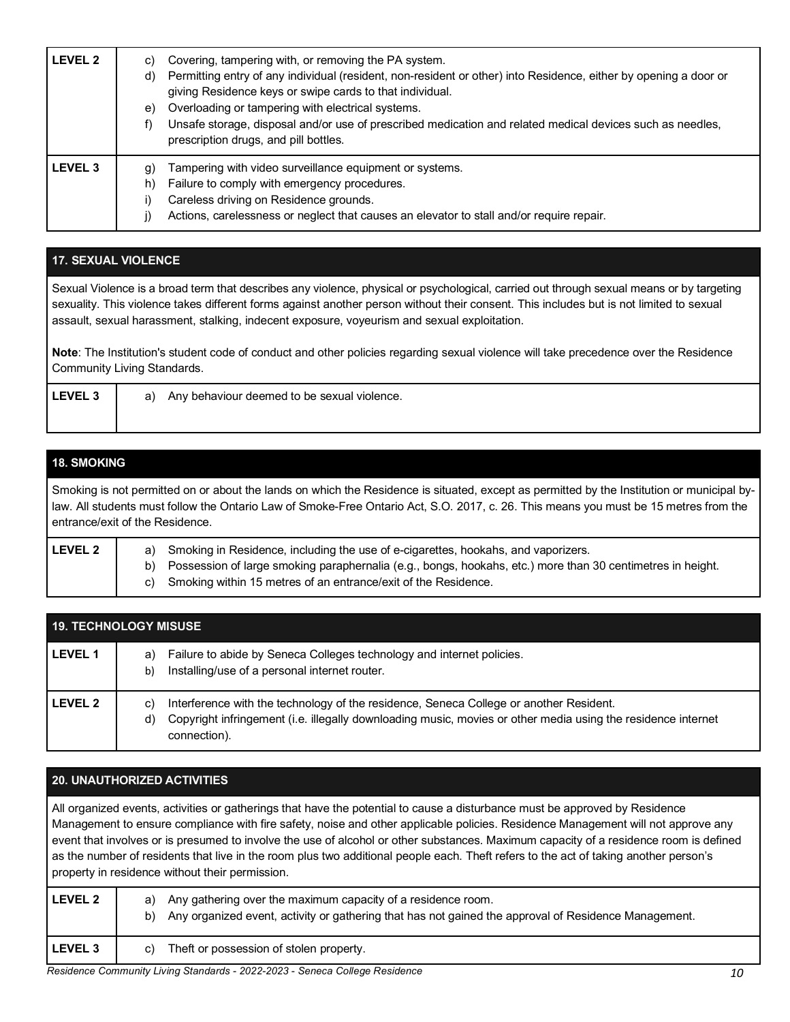| LEVEL 2            | Covering, tampering with, or removing the PA system.<br>C)<br>Permitting entry of any individual (resident, non-resident or other) into Residence, either by opening a door or<br>d)<br>giving Residence keys or swipe cards to that individual.<br>Overloading or tampering with electrical systems.<br>e)<br>Unsafe storage, disposal and/or use of prescribed medication and related medical devices such as needles,<br>prescription drugs, and pill bottles. |
|--------------------|-------------------------------------------------------------------------------------------------------------------------------------------------------------------------------------------------------------------------------------------------------------------------------------------------------------------------------------------------------------------------------------------------------------------------------------------------------------------|
| LEVEL <sub>3</sub> | Tampering with video surveillance equipment or systems.<br>g)<br>Failure to comply with emergency procedures.<br>h)<br>Careless driving on Residence grounds.<br>Actions, carelessness or neglect that causes an elevator to stall and/or require repair.                                                                                                                                                                                                         |

## **17. SEXUAL VIOLENCE**

 Sexual Violence is a broad term that describes any violence, physical or psychological, carried out through sexual means or by targeting sexuality. This violence takes different forms against another person without their consent. This includes but is not limited to sexual assault, sexual harassment, stalking, indecent exposure, voyeurism and sexual exploitation.

 **Note**: The Institution's student code of conduct and other policies regarding sexual violence will take precedence over the Residence Community Living Standards.

| <b>EVEL</b> | ' behaviour<br>r deemed to be sexual v<br><sup>1</sup> violence.<br>Any<br>a<br>−… |
|-------------|------------------------------------------------------------------------------------|
|             |                                                                                    |

## **18. SMOKING**

 Smoking is not permitted on or about the lands on which the Residence is situated, except as permitted by the Institution or municipal by- law. All students must follow the Ontario Law of Smoke-Free Ontario Act, S.O. 2017, c. 26. This means you must be 15 metres from the entrance/exit of the Residence.

| <b>LEVEL 2</b> | a) Smoking in Residence, including the use of e-cigarettes, hookahs, and vaporizers.                          |  |
|----------------|---------------------------------------------------------------------------------------------------------------|--|
|                | b) Possession of large smoking paraphernalia (e.g., bongs, hookahs, etc.) more than 30 centimetres in height. |  |
|                | c) Smoking within 15 metres of an entrance/exit of the Residence.                                             |  |

| <b>19. TECHNOLOGY MISUSE</b> |                                                                                                                                                                                                                                    |  |  |  |
|------------------------------|------------------------------------------------------------------------------------------------------------------------------------------------------------------------------------------------------------------------------------|--|--|--|
| l LEVEL 1                    | Failure to abide by Seneca Colleges technology and internet policies.<br>a)<br>Installing/use of a personal internet router.<br>b)                                                                                                 |  |  |  |
| l Level 2                    | Interference with the technology of the residence, Seneca College or another Resident.<br>C.<br>Copyright infringement (i.e. illegally downloading music, movies or other media using the residence internet<br>d)<br>connection). |  |  |  |

## **20. UNAUTHORIZED ACTIVITIES**

 All organized events, activities or gatherings that have the potential to cause a disturbance must be approved by Residence Management to ensure compliance with fire safety, noise and other applicable policies. Residence Management will not approve any event that involves or is presumed to involve the use of alcohol or other substances. Maximum capacity of a residence room is defined as the number of residents that live in the room plus two additional people each. Theft refers to the act of taking another person's property in residence without their permission.

| <b>LEVEL 2</b> | Any gathering over the maximum capacity of a residence room.<br>a)<br>Any organized event, activity or gathering that has not gained the approval of Residence Management.<br>b) |
|----------------|----------------------------------------------------------------------------------------------------------------------------------------------------------------------------------|
| <b>LEVEL 3</b> | Theft or possession of stolen property.<br>C)                                                                                                                                    |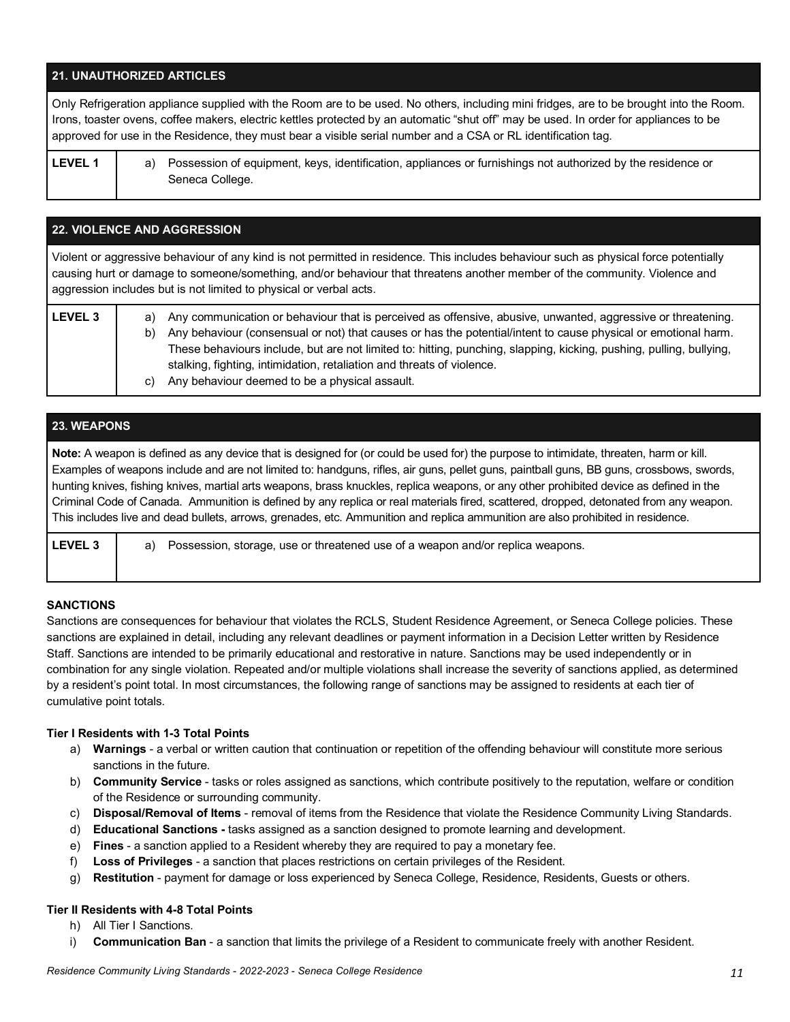## **21. UNAUTHORIZED ARTICLES**

 Only Refrigeration appliance supplied with the Room are to be used. No others, including mini fridges, are to be brought into the Room. Irons, toaster ovens, coffee makers, electric kettles protected by an automatic "shut off" may be used. In order for appliances to be approved for use in the Residence, they must bear a visible serial number and a CSA or RL identification tag.

LEVEL 1 **a**) Possession of equipment, keys, identification, appliances or furnishings not authorized by the residence or Seneca College.

## **22. VIOLENCE AND AGGRESSION**

 Violent or aggressive behaviour of any kind is not permitted in residence. This includes behaviour such as physical force potentially causing hurt or damage to someone/something, and/or behaviour that threatens another member of the community. Violence and aggression includes but is not limited to physical or verbal acts.

| <b>LEVEL 3</b> | Any communication or behaviour that is perceived as offensive, abusive, unwanted, aggressive or threatening.<br>a) |                                                                                                                     |  |  |
|----------------|--------------------------------------------------------------------------------------------------------------------|---------------------------------------------------------------------------------------------------------------------|--|--|
|                | b)                                                                                                                 | Any behaviour (consensual or not) that causes or has the potential/intent to cause physical or emotional harm.      |  |  |
|                |                                                                                                                    | These behaviours include, but are not limited to: hitting, punching, slapping, kicking, pushing, pulling, bullying, |  |  |
|                |                                                                                                                    | stalking, fighting, intimidation, retaliation and threats of violence.                                              |  |  |
|                | C)                                                                                                                 | Any behaviour deemed to be a physical assault.                                                                      |  |  |

#### **23. WEAPONS**

 **Note:** A weapon is defined as any device that is designed for (or could be used for) the purpose to intimidate, threaten, harm or kill. Examples of weapons include and are not limited to: handguns, rifles, air guns, pellet guns, paintball guns, BB guns, crossbows, swords, hunting knives, fishing knives, martial arts weapons, brass knuckles, replica weapons, or any other prohibited device as defined in the Criminal Code of Canada. Ammunition is defined by any replica or real materials fired, scattered, dropped, detonated from any weapon. This includes live and dead bullets, arrows, grenades, etc. Ammunition and replica ammunition are also prohibited in residence.

| <b>LEVEL 3</b> | a) Possession, storage, use or threatened use of a weapon and/or replica weapons. |  |
|----------------|-----------------------------------------------------------------------------------|--|
|                |                                                                                   |  |

#### **SANCTIONS**

 Sanctions are consequences for behaviour that violates the RCLS, Student Residence Agreement, or Seneca College policies. These sanctions are explained in detail, including any relevant deadlines or payment information in a Decision Letter written by Residence Staff. Sanctions are intended to be primarily educational and restorative in nature. Sanctions may be used independently or in combination for any single violation. Repeated and/or multiple violations shall increase the severity of sanctions applied, as determined by a resident's point total. In most circumstances, the following range of sanctions may be assigned to residents at each tier of cumulative point totals.

#### **Tier I Residents with 1-3 Total Points**

- a) **Warnings**  a verbal or written caution that continuation or repetition of the offending behaviour will constitute more serious sanctions in the future.
- b) **Community Service**  tasks or roles assigned as sanctions, which contribute positively to the reputation, welfare or condition of the Residence or surrounding community.
- c) **Disposal/Removal of Items**  removal of items from the Residence that violate the Residence Community Living Standards.
- d) **Educational Sanctions -** tasks assigned as a sanction designed to promote learning and development.
- e) **Fines**  a sanction applied to a Resident whereby they are required to pay a monetary fee.
- f) **Loss of Privileges**  a sanction that places restrictions on certain privileges of the Resident.
- g) **Restitution**  payment for damage or loss experienced by Seneca College, Residence, Residents, Guests or others.

#### **Tier II Residents with 4-8 Total Points**

- h) All Tier I Sanctions.
- i) **Communication Ban**  a sanction that limits the privilege of a Resident to communicate freely with another Resident.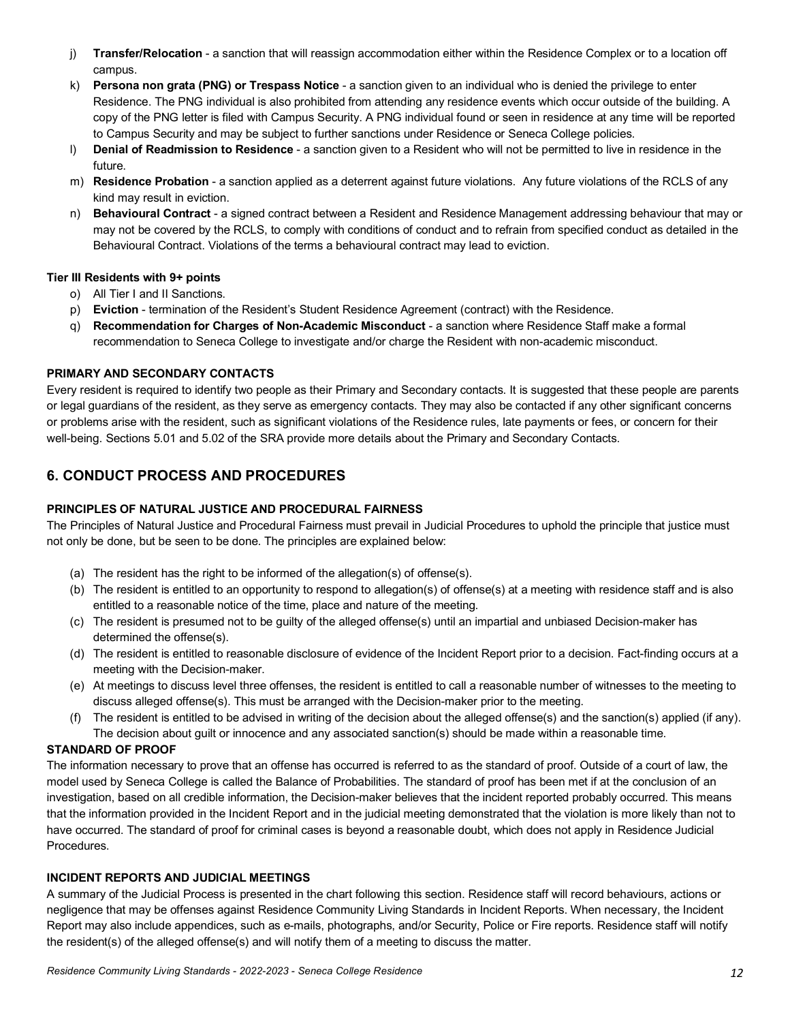- j) **Transfer/Relocation**  a sanction that will reassign accommodation either within the Residence Complex or to a location off campus.
- k) **Persona non grata (PNG) or Trespass Notice**  a sanction given to an individual who is denied the privilege to enter Residence. The PNG individual is also prohibited from attending any residence events which occur outside of the building. A copy of the PNG letter is filed with Campus Security. A PNG individual found or seen in residence at any time will be reported to Campus Security and may be subject to further sanctions under Residence or Seneca College policies.
- l) **Denial of Readmission to Residence**  a sanction given to a Resident who will not be permitted to live in residence in the future.
- m) **Residence Probation**  a sanction applied as a deterrent against future violations. Any future violations of the RCLS of any kind may result in eviction.
- n) **Behavioural Contract**  a signed contract between a Resident and Residence Management addressing behaviour that may or may not be covered by the RCLS, to comply with conditions of conduct and to refrain from specified conduct as detailed in the Behavioural Contract. Violations of the terms a behavioural contract may lead to eviction.

#### **Tier III Residents with 9+ points**

- o) All Tier I and II Sanctions.
- p) **Eviction**  termination of the Resident's Student Residence Agreement (contract) with the Residence.
- q) **Recommendation for Charges of Non-Academic Misconduct**  a sanction where Residence Staff make a formal recommendation to Seneca College to investigate and/or charge the Resident with non-academic misconduct.

#### **PRIMARY AND SECONDARY CONTACTS**

 Every resident is required to identify two people as their Primary and Secondary contacts. It is suggested that these people are parents or legal guardians of the resident, as they serve as emergency contacts. They may also be contacted if any other significant concerns or problems arise with the resident, such as significant violations of the Residence rules, late payments or fees, or concern for their well-being. Sections 5.01 and 5.02 of the SRA provide more details about the Primary and Secondary Contacts.

# **6. CONDUCT PROCESS AND PROCEDURES**

#### **PRINCIPLES OF NATURAL JUSTICE AND PROCEDURAL FAIRNESS**

 The Principles of Natural Justice and Procedural Fairness must prevail in Judicial Procedures to uphold the principle that justice must not only be done, but be seen to be done. The principles are explained below:

- (a) The resident has the right to be informed of the allegation(s) of offense(s).
- (b) The resident is entitled to an opportunity to respond to allegation(s) of offense(s) at a meeting with residence staff and is also entitled to a reasonable notice of the time, place and nature of the meeting.
- (c) The resident is presumed not to be guilty of the alleged offense(s) until an impartial and unbiased Decision-maker has determined the offense(s).
- (d) The resident is entitled to reasonable disclosure of evidence of the Incident Report prior to a decision. Fact-finding occurs at a meeting with the Decision-maker.
- (e) At meetings to discuss level three offenses, the resident is entitled to call a reasonable number of witnesses to the meeting to discuss alleged offense(s). This must be arranged with the Decision-maker prior to the meeting.
- (f) The resident is entitled to be advised in writing of the decision about the alleged offense(s) and the sanction(s) applied (if any). The decision about guilt or innocence and any associated sanction(s) should be made within a reasonable time.

#### **STANDARD OF PROOF**

 The information necessary to prove that an offense has occurred is referred to as the standard of proof. Outside of a court of law, the model used by Seneca College is called the Balance of Probabilities. The standard of proof has been met if at the conclusion of an investigation, based on all credible information, the Decision-maker believes that the incident reported probably occurred. This means that the information provided in the Incident Report and in the judicial meeting demonstrated that the violation is more likely than not to have occurred. The standard of proof for criminal cases is beyond a reasonable doubt, which does not apply in Residence Judicial Procedures.

#### **INCIDENT REPORTS AND JUDICIAL MEETINGS**

 A summary of the Judicial Process is presented in the chart following this section. Residence staff will record behaviours, actions or negligence that may be offenses against Residence Community Living Standards in Incident Reports. When necessary, the Incident Report may also include appendices, such as e-mails, photographs, and/or Security, Police or Fire reports. Residence staff will notify the resident(s) of the alleged offense(s) and will notify them of a meeting to discuss the matter.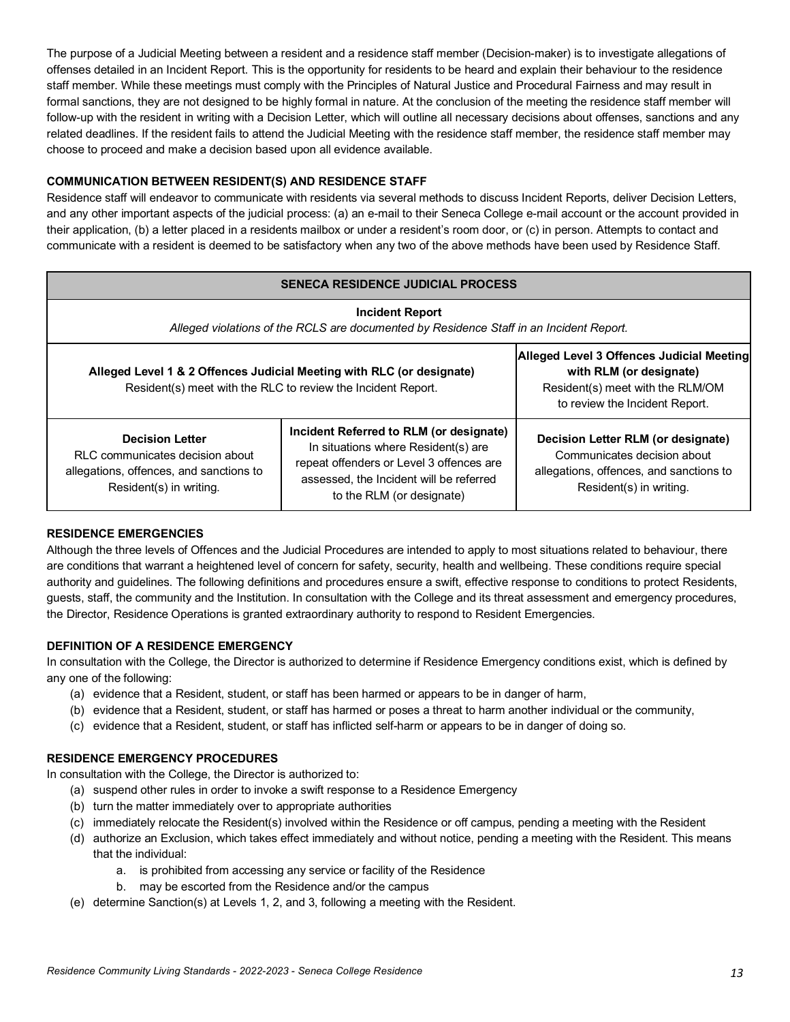The purpose of a Judicial Meeting between a resident and a residence staff member (Decision-maker) is to investigate allegations of offenses detailed in an Incident Report. This is the opportunity for residents to be heard and explain their behaviour to the residence staff member. While these meetings must comply with the Principles of Natural Justice and Procedural Fairness and may result in formal sanctions, they are not designed to be highly formal in nature. At the conclusion of the meeting the residence staff member will follow-up with the resident in writing with a Decision Letter, which will outline all necessary decisions about offenses, sanctions and any related deadlines. If the resident fails to attend the Judicial Meeting with the residence staff member, the residence staff member may choose to proceed and make a decision based upon all evidence available.

## **COMMUNICATION BETWEEN RESIDENT(S) AND RESIDENCE STAFF**

 Residence staff will endeavor to communicate with residents via several methods to discuss Incident Reports, deliver Decision Letters, and any other important aspects of the judicial process: (a) an e-mail to their Seneca College e-mail account or the account provided in their application, (b) a letter placed in a residents mailbox or under a resident's room door, or (c) in person. Attempts to contact and communicate with a resident is deemed to be satisfactory when any two of the above methods have been used by Residence Staff.

#### **SENECA RESIDENCE JUDICIAL PROCESS**

| <b>Incident Report</b><br>Alleged violations of the RCLS are documented by Residence Staff in an Incident Report.                     |                                                                                                                                                                                                    |                                                                                                                                         |  |  |  |  |
|---------------------------------------------------------------------------------------------------------------------------------------|----------------------------------------------------------------------------------------------------------------------------------------------------------------------------------------------------|-----------------------------------------------------------------------------------------------------------------------------------------|--|--|--|--|
| Alleged Level 1 & 2 Offences Judicial Meeting with RLC (or designate)<br>Resident(s) meet with the RLC to review the Incident Report. | Alleged Level 3 Offences Judicial Meeting<br>with RLM (or designate)<br>Resident(s) meet with the RLM/OM<br>to review the Incident Report.                                                         |                                                                                                                                         |  |  |  |  |
| <b>Decision Letter</b><br>RLC communicates decision about<br>allegations, offences, and sanctions to<br>Resident(s) in writing.       | Incident Referred to RLM (or designate)<br>In situations where Resident(s) are<br>repeat offenders or Level 3 offences are<br>assessed, the Incident will be referred<br>to the RLM (or designate) | Decision Letter RLM (or designate)<br>Communicates decision about<br>allegations, offences, and sanctions to<br>Resident(s) in writing. |  |  |  |  |

#### **RESIDENCE EMERGENCIES**

 Although the three levels of Offences and the Judicial Procedures are intended to apply to most situations related to behaviour, there are conditions that warrant a heightened level of concern for safety, security, health and wellbeing. These conditions require special authority and guidelines. The following definitions and procedures ensure a swift, effective response to conditions to protect Residents, guests, staff, the community and the Institution. In consultation with the College and its threat assessment and emergency procedures, the Director, Residence Operations is granted extraordinary authority to respond to Resident Emergencies.

#### **DEFINITION OF A RESIDENCE EMERGENCY**

 In consultation with the College, the Director is authorized to determine if Residence Emergency conditions exist, which is defined by any one of the following:

- (a) evidence that a Resident, student, or staff has been harmed or appears to be in danger of harm,
- (b) evidence that a Resident, student, or staff has harmed or poses a threat to harm another individual or the community,
- (c) evidence that a Resident, student, or staff has inflicted self-harm or appears to be in danger of doing so.

#### **RESIDENCE EMERGENCY PROCEDURES**

In consultation with the College, the Director is authorized to:

- (a) suspend other rules in order to invoke a swift response to a Residence Emergency
- (b) turn the matter immediately over to appropriate authorities
- (c) immediately relocate the Resident(s) involved within the Residence or off campus, pending a meeting with the Resident
- (d) authorize an Exclusion, which takes effect immediately and without notice, pending a meeting with the Resident. This means that the individual:
	- a. is prohibited from accessing any service or facility of the Residence
	- b. may be escorted from the Residence and/or the campus
- (e) determine Sanction(s) at Levels 1, 2, and 3, following a meeting with the Resident.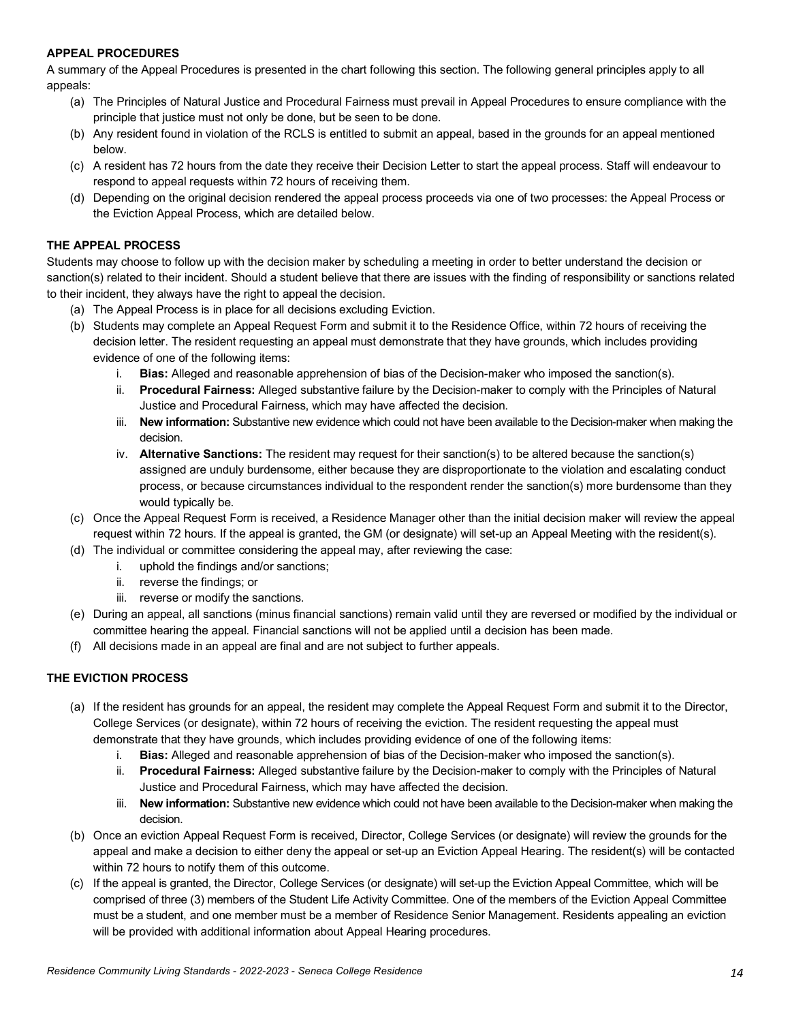#### **APPEAL PROCEDURES**

 A summary of the Appeal Procedures is presented in the chart following this section. The following general principles apply to all appeals:

- (a) The Principles of Natural Justice and Procedural Fairness must prevail in Appeal Procedures to ensure compliance with the principle that justice must not only be done, but be seen to be done.
- (b) Any resident found in violation of the RCLS is entitled to submit an appeal, based in the grounds for an appeal mentioned below.
- (c) A resident has 72 hours from the date they receive their Decision Letter to start the appeal process. Staff will endeavour to respond to appeal requests within 72 hours of receiving them.
- (d) Depending on the original decision rendered the appeal process proceeds via one of two processes: the Appeal Process or the Eviction Appeal Process, which are detailed below.

#### **THE APPEAL PROCESS**

 Students may choose to follow up with the decision maker by scheduling a meeting in order to better understand the decision or sanction(s) related to their incident. Should a student believe that there are issues with the finding of responsibility or sanctions related to their incident, they always have the right to appeal the decision.

- (a) The Appeal Process is in place for all decisions excluding Eviction.
- (b) Students may complete an Appeal Request Form and submit it to the Residence Office, within 72 hours of receiving the decision letter. The resident requesting an appeal must demonstrate that they have grounds, which includes providing evidence of one of the following items:
	- i. **Bias:** Alleged and reasonable apprehension of bias of the Decision-maker who imposed the sanction(s).
	- ii. **Procedural Fairness:** Alleged substantive failure by the Decision-maker to comply with the Principles of Natural Justice and Procedural Fairness, which may have affected the decision.
	- iii. **New information:** Substantive new evidence which could not have been available to the Decision-maker when making the decision.
	- iv. **Alternative Sanctions:** The resident may request for their sanction(s) to be altered because the sanction(s) assigned are unduly burdensome, either because they are disproportionate to the violation and escalating conduct process, or because circumstances individual to the respondent render the sanction(s) more burdensome than they would typically be.
- (c) Once the Appeal Request Form is received, a Residence Manager other than the initial decision maker will review the appeal request within 72 hours. If the appeal is granted, the GM (or designate) will set-up an Appeal Meeting with the resident(s).
- (d) The individual or committee considering the appeal may, after reviewing the case:
	- i. uphold the findings and/or sanctions;
		- ii. reverse the findings; or
		- iii. reverse or modify the sanctions.
- (e) During an appeal, all sanctions (minus financial sanctions) remain valid until they are reversed or modified by the individual or committee hearing the appeal. Financial sanctions will not be applied until a decision has been made.
- (f) All decisions made in an appeal are final and are not subject to further appeals.

#### **THE EVICTION PROCESS**

- (a) If the resident has grounds for an appeal, the resident may complete the Appeal Request Form and submit it to the Director, College Services (or designate), within 72 hours of receiving the eviction. The resident requesting the appeal must demonstrate that they have grounds, which includes providing evidence of one of the following items:
	- i. **Bias:** Alleged and reasonable apprehension of bias of the Decision-maker who imposed the sanction(s).
	- ii. **Procedural Fairness:** Alleged substantive failure by the Decision-maker to comply with the Principles of Natural Justice and Procedural Fairness, which may have affected the decision.
	- iii. **New information:** Substantive new evidence which could not have been available to the Decision-maker when making the decision.
- (b) Once an eviction Appeal Request Form is received, Director, College Services (or designate) will review the grounds for the appeal and make a decision to either deny the appeal or set-up an Eviction Appeal Hearing. The resident(s) will be contacted within 72 hours to notify them of this outcome.
- (c) If the appeal is granted, the Director, College Services (or designate) will set-up the Eviction Appeal Committee, which will be comprised of three (3) members of the Student Life Activity Committee. One of the members of the Eviction Appeal Committee must be a student, and one member must be a member of Residence Senior Management. Residents appealing an eviction will be provided with additional information about Appeal Hearing procedures.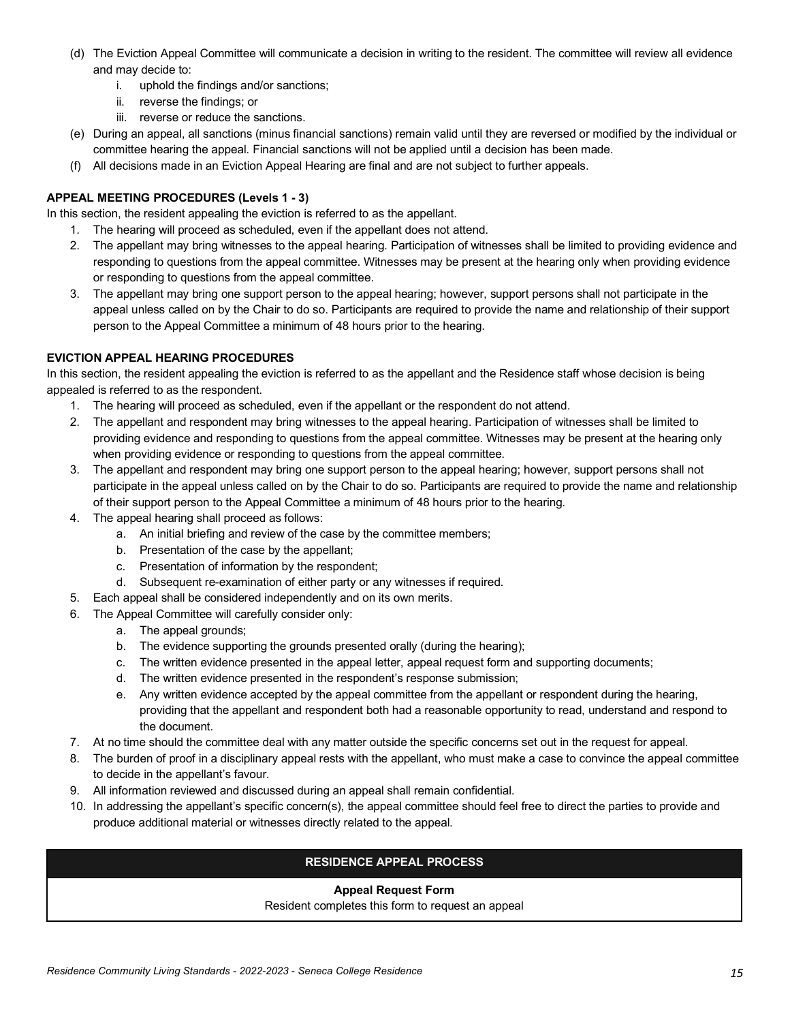- (d) The Eviction Appeal Committee will communicate a decision in writing to the resident. The committee will review all evidence and may decide to:
	- i. uphold the findings and/or sanctions;
	- ii. reverse the findings; or
	- iii. reverse or reduce the sanctions.
- (e) During an appeal, all sanctions (minus financial sanctions) remain valid until they are reversed or modified by the individual or committee hearing the appeal. Financial sanctions will not be applied until a decision has been made.
- (f) All decisions made in an Eviction Appeal Hearing are final and are not subject to further appeals.

## **APPEAL MEETING PROCEDURES (Levels 1 - 3)**

In this section, the resident appealing the eviction is referred to as the appellant.

- 1. The hearing will proceed as scheduled, even if the appellant does not attend.
- 2. The appellant may bring witnesses to the appeal hearing. Participation of witnesses shall be limited to providing evidence and responding to questions from the appeal committee. Witnesses may be present at the hearing only when providing evidence or responding to questions from the appeal committee.
- 3. The appellant may bring one support person to the appeal hearing; however, support persons shall not participate in the appeal unless called on by the Chair to do so. Participants are required to provide the name and relationship of their support person to the Appeal Committee a minimum of 48 hours prior to the hearing.

## **EVICTION APPEAL HEARING PROCEDURES**

 In this section, the resident appealing the eviction is referred to as the appellant and the Residence staff whose decision is being appealed is referred to as the respondent.

- 1. The hearing will proceed as scheduled, even if the appellant or the respondent do not attend.
- 2. The appellant and respondent may bring witnesses to the appeal hearing. Participation of witnesses shall be limited to providing evidence and responding to questions from the appeal committee. Witnesses may be present at the hearing only when providing evidence or responding to questions from the appeal committee.
- 3. The appellant and respondent may bring one support person to the appeal hearing; however, support persons shall not participate in the appeal unless called on by the Chair to do so. Participants are required to provide the name and relationship of their support person to the Appeal Committee a minimum of 48 hours prior to the hearing.
- 4. The appeal hearing shall proceed as follows:
	- a. An initial briefing and review of the case by the committee members;
	- b. Presentation of the case by the appellant;
	- c. Presentation of information by the respondent;
	- d. Subsequent re-examination of either party or any witnesses if required.
- 5. Each appeal shall be considered independently and on its own merits.
- 6. The Appeal Committee will carefully consider only:
	- a. The appeal grounds;
	- b. The evidence supporting the grounds presented orally (during the hearing);
	- c. The written evidence presented in the appeal letter, appeal request form and supporting documents;
	- d. The written evidence presented in the respondent's response submission;
	- e. Any written evidence accepted by the appeal committee from the appellant or respondent during the hearing, providing that the appellant and respondent both had a reasonable opportunity to read, understand and respond to the document.
- 7. At no time should the committee deal with any matter outside the specific concerns set out in the request for appeal.
- 8. The burden of proof in a disciplinary appeal rests with the appellant, who must make a case to convince the appeal committee to decide in the appellant's favour.
- 9. All information reviewed and discussed during an appeal shall remain confidential.
- 10. In addressing the appellant's specific concern(s), the appeal committee should feel free to direct the parties to provide and produce additional material or witnesses directly related to the appeal.

## **RESIDENCE APPEAL PROCESS**

#### **Appeal Request Form**

Resident completes this form to request an appeal